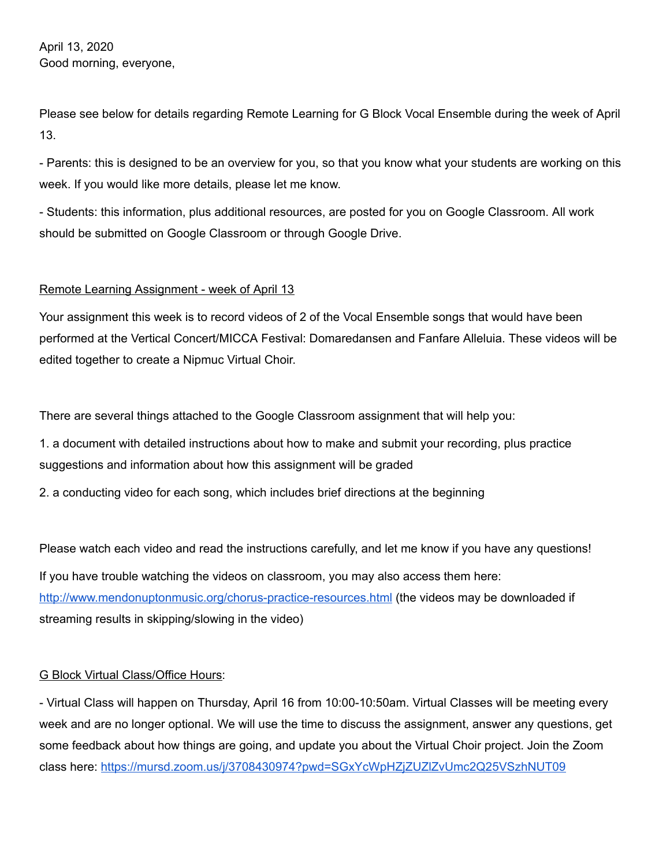April 13, 2020 Good morning, everyone,

Please see below for details regarding Remote Learning for G Block Vocal Ensemble during the week of April 13.

- Parents: this is designed to be an overview for you, so that you know what your students are working on this week. If you would like more details, please let me know.

- Students: this information, plus additional resources, are posted for you on Google Classroom. All work should be submitted on Google Classroom or through Google Drive.

## Remote Learning Assignment - week of April 13

Your assignment this week is to record videos of 2 of the Vocal Ensemble songs that would have been performed at the Vertical Concert/MICCA Festival: Domaredansen and Fanfare Alleluia. These videos will be edited together to create a Nipmuc Virtual Choir.

There are several things attached to the Google Classroom assignment that will help you:

1. a document with detailed instructions about how to make and submit your recording, plus practice suggestions and information about how this assignment will be graded

2. a conducting video for each song, which includes brief directions at the beginning

Please watch each video and read the instructions carefully, and let me know if you have any questions!

If you have trouble watching the videos on classroom, you may also access them here: <http://www.mendonuptonmusic.org/chorus-practice-resources.html> (the videos may be downloaded if streaming results in skipping/slowing in the video)

## G Block Virtual Class/Office Hours:

- Virtual Class will happen on Thursday, April 16 from 10:00-10:50am. Virtual Classes will be meeting every week and are no longer optional. We will use the time to discuss the assignment, answer any questions, get some feedback about how things are going, and update you about the Virtual Choir project. Join the Zoom class here: <https://mursd.zoom.us/j/3708430974?pwd=SGxYcWpHZjZUZlZvUmc2Q25VSzhNUT09>